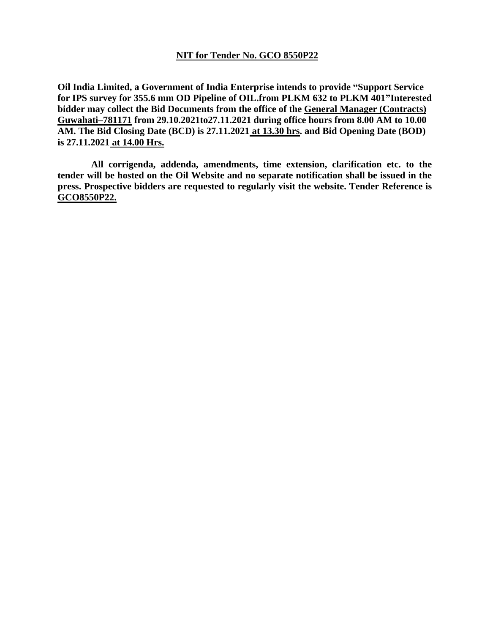### **NIT for Tender No. GCO 8550P22**

**Oil India Limited, a Government of India Enterprise intends to provide "Support Service for IPS survey for 355.6 mm OD Pipeline of OIL.from PLKM 632 to PLKM 401"Interested bidder may collect the Bid Documents from the office of the General Manager (Contracts) Guwahati–781171 from 29.10.2021to27.11.2021 during office hours from 8.00 AM to 10.00 AM. The Bid Closing Date (BCD) is 27.11.2021 at 13.30 hrs. and Bid Opening Date (BOD) is 27.11.2021 at 14.00 Hrs.**

 **All corrigenda, addenda, amendments, time extension, clarification etc. to the tender will be hosted on the Oil Website and no separate notification shall be issued in the press. Prospective bidders are requested to regularly visit the website. Tender Reference is GCO8550P22.**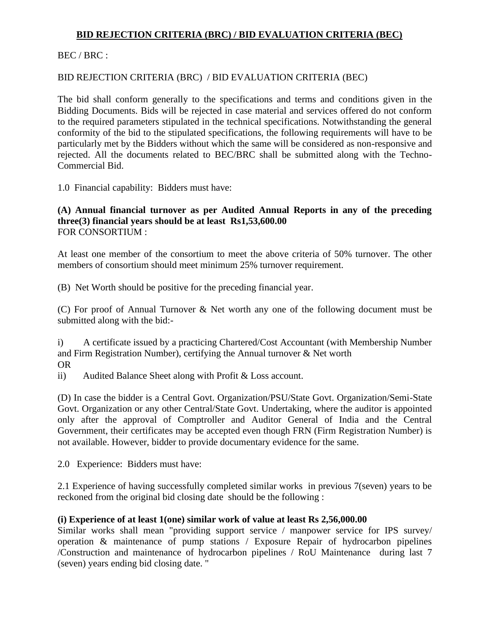# **BID REJECTION CRITERIA (BRC) / BID EVALUATION CRITERIA (BEC)**

BEC / BRC :

# BID REJECTION CRITERIA (BRC) / BID EVALUATION CRITERIA (BEC)

The bid shall conform generally to the specifications and terms and conditions given in the Bidding Documents. Bids will be rejected in case material and services offered do not conform to the required parameters stipulated in the technical specifications. Notwithstanding the general conformity of the bid to the stipulated specifications, the following requirements will have to be particularly met by the Bidders without which the same will be considered as non-responsive and rejected. All the documents related to BEC/BRC shall be submitted along with the Techno-Commercial Bid.

1.0 Financial capability: Bidders must have:

### **(A) Annual financial turnover as per Audited Annual Reports in any of the preceding three(3) financial years should be at least Rs1,53,600.00** FOR CONSORTIUM :

At least one member of the consortium to meet the above criteria of 50% turnover. The other members of consortium should meet minimum 25% turnover requirement.

(B) Net Worth should be positive for the preceding financial year.

(C) For proof of Annual Turnover & Net worth any one of the following document must be submitted along with the bid:-

i) A certificate issued by a practicing Chartered/Cost Accountant (with Membership Number and Firm Registration Number), certifying the Annual turnover & Net worth OR

ii) Audited Balance Sheet along with Profit & Loss account.

(D) In case the bidder is a Central Govt. Organization/PSU/State Govt. Organization/Semi-State Govt. Organization or any other Central/State Govt. Undertaking, where the auditor is appointed only after the approval of Comptroller and Auditor General of India and the Central Government, their certificates may be accepted even though FRN (Firm Registration Number) is not available. However, bidder to provide documentary evidence for the same.

2.0 Experience: Bidders must have:

2.1 Experience of having successfully completed similar works in previous 7(seven) years to be reckoned from the original bid closing date should be the following :

### **(i) Experience of at least 1(one) similar work of value at least Rs 2,56,000.00**

Similar works shall mean "providing support service / manpower service for IPS survey/ operation & maintenance of pump stations / Exposure Repair of hydrocarbon pipelines /Construction and maintenance of hydrocarbon pipelines / RoU Maintenance during last 7 (seven) years ending bid closing date. "